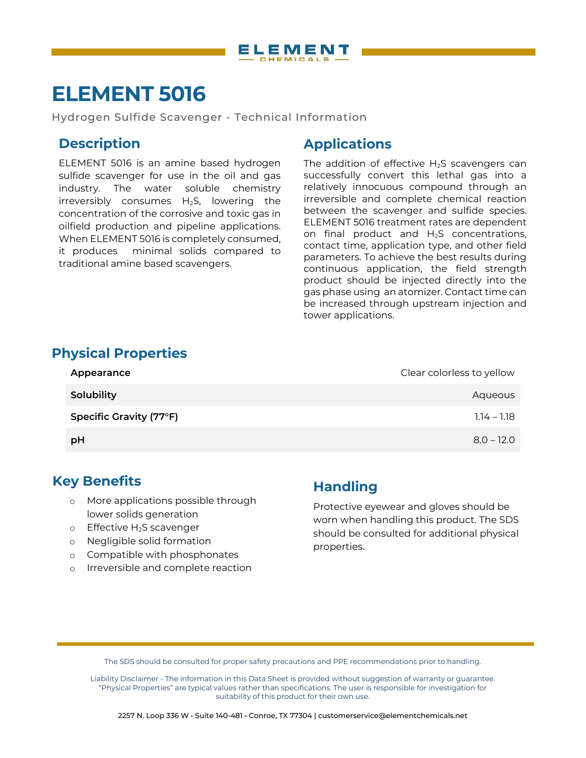

# **ELEMENT 5016**

Hydrogen Sulfide Scavenger - Technical Information

## **Description**

ELEMENT 5016 is an amine based hydrogen sulfide scavenger for use in the oil and gas industry. The water soluble chemistry irreversibly consumes  $H_2S$ , lowering the concentration of the corrosive and toxic gas in oilfield production and pipeline applications. When ELEMENT 5016 is completely consumed, it produces minimal solids compared to traditional amine based scavengers.

### **Applications**

The addition of effective  $H_2S$  scavengers can successfully convert this lethal gas into a relatively innocuous compound through an irreversible and complete chemical reaction between the scavenger and sulfide species. ELEMENT 5016 treatment rates are dependent on final product and H2S concentrations, contact time, application type, and other field parameters. To achieve the best results during continuous application, the field strength product should be injected directly into the gas phase using an atomizer. Contact time can be increased through upstream injection and tower applications.

#### **Physical Properties**

| Appearance              | Clear colorless to yellow |
|-------------------------|---------------------------|
| Solubility              | Aqueous                   |
| Specific Gravity (77°F) | $1.14 - 1.18$             |
| pH                      | $8.0 - 12.0$              |

#### **Key Benefits**

- o More applications possible through lower solids generation
- o Effective H2S scavenger
- o Negligible solid formation
- o Compatible with phosphonates
- o Irreversible and complete reaction

## **Handling**

Protective eyewear and gloves should be worn when handling this product. The SDS should be consulted for additional physical properties.

The SDS should be consulted for proper safety precautions and PPE recommendations prior to handling.

Liability Disclaimer - The information in this Data Sheet is provided without suggestion of warranty or guarantee. "Physical Properties" are typical values rather than specifications. The user is responsible for investigation for suitability of this product for their own use.